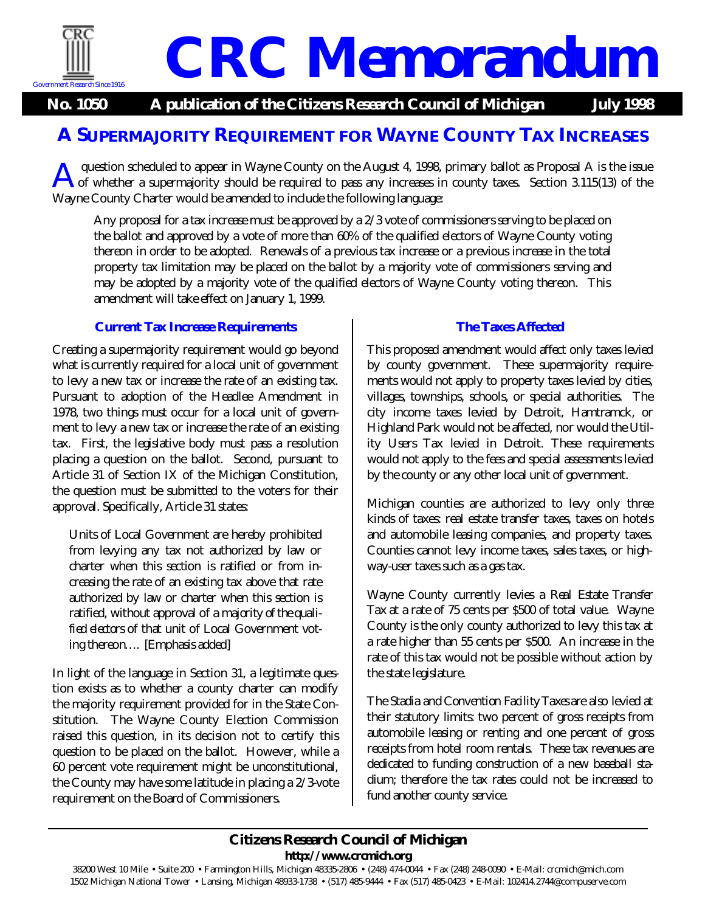

# **CRC Memorandum**

**No. 1050 A publication of the Citizens Research Council of Michigan July 1998**

## **A SUPERMAJORITY REQUIREMENT FOR WAYNE COUNTY TAX INCREASES**

question scheduled to appear in Wayne County on the August 4, 1998, primary ballot as Proposal A is the issue of whether a supermajority should be required to pass any increases in county taxes. Section 3.115(13) of the Wayne County Charter would be amended to include the following language: A

Any proposal for a tax increase must be approved by a 2/ 3 vote of commissioners serving to be placed on the ballot and approved by a vote of more than 60% of the qualified electors of Wayne County voting thereon in order to be adopted. Renewals of a previous tax increase or a previous increase in the total property tax limitation may be placed on the ballot by a majority vote of commissioners serving and may be adopted by a majority vote of the qualified electors of Wayne County voting thereon. This amendment will take effect on January 1, 1999.

#### **Current Tax Increase Requirements**

Creating a supermajority requirement would go beyond what is currently required for a local unit of government to levy a new tax or increase the rate of an existing tax. Pursuant to adoption of the Headlee Amendment in 1978, two things must occur for a local unit of government to levy a new tax or increase the rate of an existing tax. First, the legislative body must pass a resolution placing a question on the ballot. Second, pursuant to Article 31 of Section IX of the Michigan Constitution, the question must be submitted to the voters for their approval. Specifically, Article 31 states:

Units of Local Government are hereby prohibited from levying any tax not authorized by law or charter when this section is ratified or from increasing the rate of an existing tax above that rate authorized by law or charter when this section is ratified, without approval of a *majority of the qualified electors* of that unit of Local Government voting thereon…. [Emphasis added]

In light of the language in Section 31, a legitimate question exists as to whether a county charter can modify the majority requirement provided for in the State Constitution. The Wayne County Election Commission raised this question, in its decision not to certify this question to be placed on the ballot. However, while a 60 percent vote requirement might be unconstitutional, the County may have some latitude in placing a 2/ 3-vote requirement on the Board of Commissioners.

### **The Taxes Affected**

This proposed amendment would affect only taxes levied by county government. These supermajority requirements would not apply to property taxes levied by cities, villages, townships, schools, or special authorities. The city income taxes levied by Detroit, Hamtramck, or Highland Park would not be affected, nor would the Utility Users Tax levied in Detroit. These requirements would not apply to the fees and special assessments levied by the county or any other local unit of government.

Michigan counties are authorized to levy only three kinds of taxes: real estate transfer taxes, taxes on hotels and automobile leasing companies, and property taxes. Counties cannot levy income taxes, sales taxes, or highway-user taxes such as a gas tax.

Wayne County currently levies a *Real Estate Transfer Tax* at a rate of 75 cents per \$500 of total value. Wayne County is the only county authorized to levy this tax at a rate higher than 55 cents per \$500. An increase in the rate of this tax would not be possible without action by the state legislature.

The *Stadia and Convention Facility Taxes* are also levied at their statutory limits: two percent of gross receipts from automobile leasing or renting and one percent of gross receipts from hotel room rentals. These tax revenues are dedicated to funding construction of a new baseball stadium; therefore the tax rates could not be increased to fund another county service.

#### **Citizens Research Council of Michigan http:/ / www.crcmich.org**